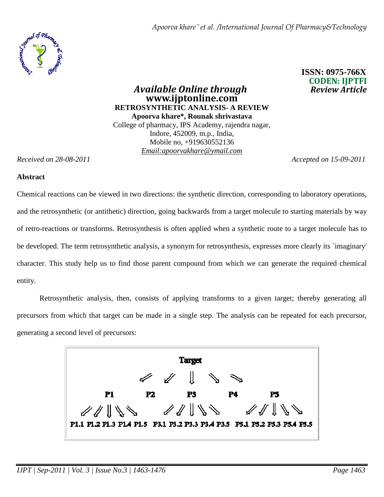*Apoorva khare \* et al. /International Journal Of Pharmacy&Technology*



 **ISSN: 0975-766X CODEN: IJPTFI** 

*Available Online through* **www.ijptonline.com RETROSYNTHETIC ANALYSIS- A REVIEW Apoorva khare\*, Rounak shrivastava**  College of pharmacy, IPS Academy, rajendra nagar, Indore, 452009, m.p., India, Mobile no, +919630552136 *Email:apoorvakhare@ymail.com*

*Received on 28-08-2011 Accepted on 15-09-2011*

#### **Abstract**

Chemical reactions can be viewed in two directions: the synthetic direction, corresponding to laboratory operations, and the retrosynthetic (or antithetic) direction, going backwards from a target molecule to starting materials by way of retro-reactions or transforms. Retrosynthesis is often applied when a synthetic route to a target molecule has to be developed. The term retrosynthetic analysis, a synonym for retrosynthesis, expresses more clearly its `imaginary' character. This study help us to find those parent compound from which we can generate the required chemical entity.

Retrosynthetic analysis, then, consists of applying transforms to a given target; thereby generating all precursors from which that target can be made in a single step. The analysis can be repeated for each precursor, generating a second level of precursors:

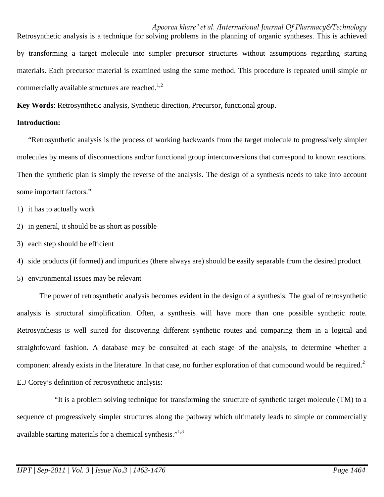## *Apoorva khare \* et al. /International Journal Of Pharmacy&Technology*

Retrosynthetic analysis is a technique for solving problems in the planning of organic syntheses. This is achieved by transforming a target molecule into simpler precursor structures without assumptions regarding starting materials. Each precursor material is examined using the same method. This procedure is repeated until simple or commercially available structures are reached.<sup>1,2</sup>

**Key Words**: Retrosynthetic analysis, Synthetic direction, Precursor, functional group.

#### **Introduction:**

"Retrosynthetic analysis is the process of working backwards from the target molecule to progressively simpler molecules by means of disconnections and/or functional group interconversions that correspond to known reactions. Then the synthetic plan is simply the reverse of the analysis. The design of a synthesis needs to take into account some important factors."

- 1) it has to actually work
- 2) in general, it should be as short as possible
- 3) each step should be efficient
- 4) side products (if formed) and impurities (there always are) should be easily separable from the desired product
- 5) environmental issues may be relevant

 The power of retrosynthetic analysis becomes evident in the design of a synthesis. The goal of retrosynthetic analysis is structural simplification. Often, a synthesis will have more than one possible synthetic route. Retrosynthesis is well suited for discovering different synthetic routes and comparing them in a logical and straightfoward fashion. A database may be consulted at each stage of the analysis, to determine whether a component already exists in the literature. In that case, no further exploration of that compound would be required.<sup>2</sup> E.J Corey's definition of retrosynthetic analysis:

 "It is a problem solving technique for transforming the structure of synthetic target molecule (TM) to a sequence of progressively simpler structures along the pathway which ultimately leads to simple or commercially available starting materials for a chemical synthesis."<sup>1,3</sup>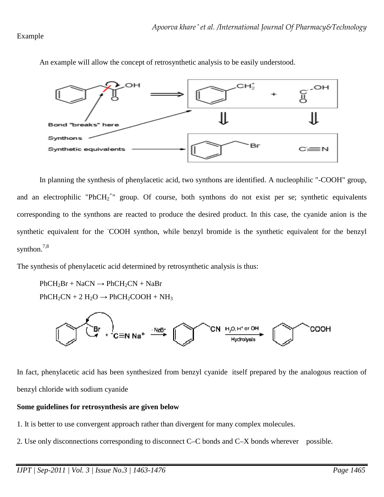## Example



An example will allow the concept of retrosynthetic analysis to be easily understood.

In planning the synthesis of phenylacetic acid, two synthons are identified. A nucleophilic "-COOH" group, and an electrophilic "PhCH<sub>2</sub><sup>+</sup>" group. Of course, both synthons do not exist per se; synthetic equivalents corresponding to the synthons are reacted to produce the desired product. In this case, the cyanide anion is the synthetic equivalent for the COOH synthon, while benzyl bromide is the synthetic equivalent for the benzyl synthon.<sup>7,8</sup>

The synthesis of phenylacetic acid determined by retrosynthetic analysis is thus:

 $PhCH<sub>2</sub>Br + NaCN \rightarrow PhCH<sub>2</sub>CN + NaBr$  $PhCH_2CN + 2 H_2O \rightarrow PhCH_2COOH + NH_3$ 



In fact, phenylacetic acid has been synthesized from benzyl cyanide itself prepared by the analogous reaction of benzyl chloride with sodium cyanide

## **Some guidelines for retrosynthesis are given below**

- 1. It is better to use convergent approach rather than divergent for many complex molecules.
- 2. Use only disconnections corresponding to disconnect C–C bonds and C–X bonds wherever possible.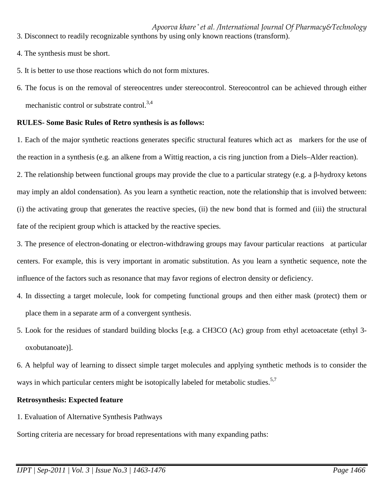*Apoorva khare \* et al. /International Journal Of Pharmacy&Technology* 3. Disconnect to readily recognizable synthons by using only known reactions (transform).

- 4. The synthesis must be short.
- 5. It is better to use those reactions which do not form mixtures.
- 6. The focus is on the removal of stereocentres under stereocontrol. Stereocontrol can be achieved through either mechanistic control or substrate control. $^{3,4}$

## **RULES- Some Basic Rules of Retro synthesis is as follows:**

1. Each of the major synthetic reactions generates specific structural features which act as markers for the use of the reaction in a synthesis (e.g. an alkene from a Wittig reaction, a cis ring junction from a Diels–Alder reaction).

2. The relationship between functional groups may provide the clue to a particular strategy (e.g. a β-hydroxy ketons may imply an aldol condensation). As you learn a synthetic reaction, note the relationship that is involved between: (i) the activating group that generates the reactive species, (ii) the new bond that is formed and (iii) the structural fate of the recipient group which is attacked by the reactive species.

3. The presence of electron-donating or electron-withdrawing groups may favour particular reactions at particular centers. For example, this is very important in aromatic substitution. As you learn a synthetic sequence, note the influence of the factors such as resonance that may favor regions of electron density or deficiency.

- 4. In dissecting a target molecule, look for competing functional groups and then either mask (protect) them or place them in a separate arm of a convergent synthesis.
- 5. Look for the residues of standard building blocks [e.g. a CH3CO (Ac) group from ethyl acetoacetate (ethyl 3 oxobutanoate)].
- 6. A helpful way of learning to dissect simple target molecules and applying synthetic methods is to consider the ways in which particular centers might be isotopically labeled for metabolic studies.<sup>5,7</sup>

## **Retrosynthesis: Expected feature**

1. Evaluation of Alternative Synthesis Pathways

Sorting criteria are necessary for broad representations with many expanding paths: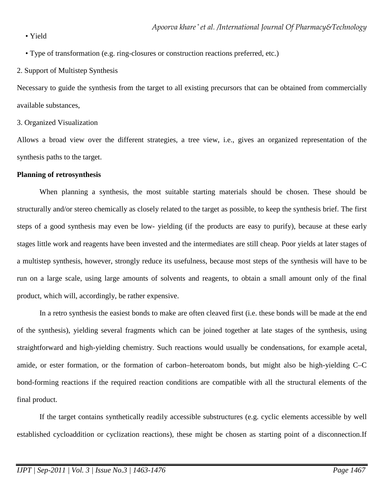• Yield

• Type of transformation (e.g. ring-closures or construction reactions preferred, etc.)

2. Support of Multistep Synthesis

Necessary to guide the synthesis from the target to all existing precursors that can be obtained from commercially available substances,

## 3. Organized Visualization

Allows a broad view over the different strategies, a tree view, i.e., gives an organized representation of the synthesis paths to the target.

## **Planning of retrosynthesis**

When planning a synthesis, the most suitable starting materials should be chosen. These should be structurally and/or stereo chemically as closely related to the target as possible, to keep the synthesis brief. The first steps of a good synthesis may even be low- yielding (if the products are easy to purify), because at these early stages little work and reagents have been invested and the intermediates are still cheap. Poor yields at later stages of a multistep synthesis, however, strongly reduce its usefulness, because most steps of the synthesis will have to be run on a large scale, using large amounts of solvents and reagents, to obtain a small amount only of the final product, which will, accordingly, be rather expensive.

In a retro synthesis the easiest bonds to make are often cleaved first (i.e. these bonds will be made at the end of the synthesis), yielding several fragments which can be joined together at late stages of the synthesis, using straightforward and high-yielding chemistry. Such reactions would usually be condensations, for example acetal, amide, or ester formation, or the formation of carbon–heteroatom bonds, but might also be high-yielding C–C bond-forming reactions if the required reaction conditions are compatible with all the structural elements of the final product.

If the target contains synthetically readily accessible substructures (e.g. cyclic elements accessible by well established cycloaddition or cyclization reactions), these might be chosen as starting point of a disconnection.If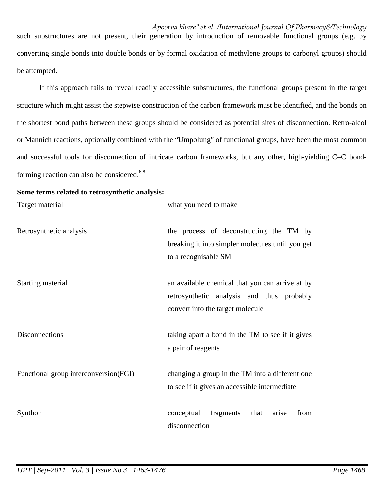*Apoorva khare \* et al. /International Journal Of Pharmacy&Technology* such substructures are not present, their generation by introduction of removable functional groups (e.g. by converting single bonds into double bonds or by formal oxidation of methylene groups to carbonyl groups) should be attempted.

If this approach fails to reveal readily accessible substructures, the functional groups present in the target structure which might assist the stepwise construction of the carbon framework must be identified, and the bonds on the shortest bond paths between these groups should be considered as potential sites of disconnection. Retro-aldol or Mannich reactions, optionally combined with the "Umpolung" of functional groups, have been the most common and successful tools for disconnection of intricate carbon frameworks, but any other, high-yielding C–C bondforming reaction can also be considered. $6,8$ 

#### **Some terms related to retrosynthetic analysis:**

| Target material                       | what you need to make                                                                                                            |
|---------------------------------------|----------------------------------------------------------------------------------------------------------------------------------|
| Retrosynthetic analysis               | the process of deconstructing the TM by<br>breaking it into simpler molecules until you get<br>to a recognisable SM              |
| Starting material                     | an available chemical that you can arrive at by<br>retrosynthetic analysis and thus probably<br>convert into the target molecule |
| Disconnections                        | taking apart a bond in the TM to see if it gives<br>a pair of reagents                                                           |
| Functional group interconversion(FGI) | changing a group in the TM into a different one<br>to see if it gives an accessible intermediate                                 |
| Synthon                               | conceptual<br>fragments<br>that<br>from<br>arise<br>disconnection                                                                |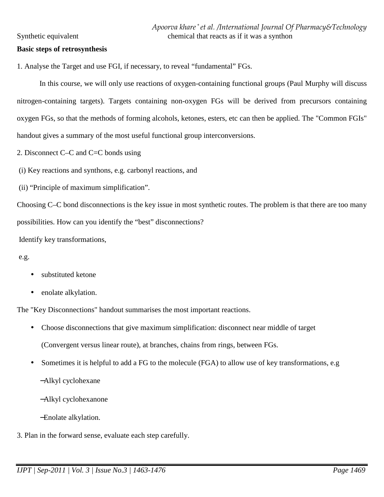#### **Basic steps of retrosynthesis**

1. Analyse the Target and use FGI, if necessary, to reveal "fundamental" FGs.

In this course, we will only use reactions of oxygen-containing functional groups (Paul Murphy will discuss nitrogen-containing targets). Targets containing non-oxygen FGs will be derived from precursors containing oxygen FGs, so that the methods of forming alcohols, ketones, esters, etc can then be applied. The "Common FGIs" handout gives a summary of the most useful functional group interconversions.

- 2. Disconnect C–C and C=C bonds using
- (i) Key reactions and synthons, e.g. carbonyl reactions, and
- (ii) "Principle of maximum simplification".

Choosing C–C bond disconnections is the key issue in most synthetic routes. The problem is that there are too many possibilities. How can you identify the "best" disconnections?

Identify key transformations,

e.g.

- substituted ketone
- enolate alkylation.

The "Key Disconnections" handout summarises the most important reactions.

- Choose disconnections that give maximum simplification: disconnect near middle of target (Convergent versus linear route), at branches, chains from rings, between FGs.
- Sometimes it is helpful to add a FG to the molecule (FGA) to allow use of key transformations, e.g −Alkyl cyclohexane
	- −Alkyl cyclohexanone

−Enolate alkylation.

3. Plan in the forward sense, evaluate each step carefully.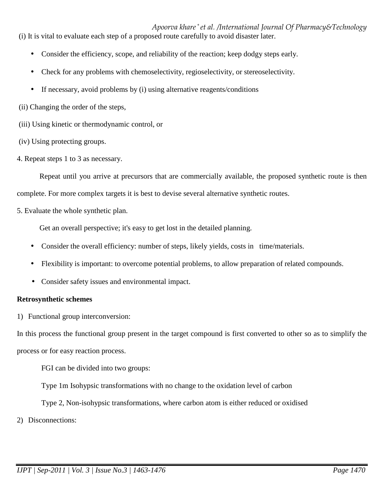*Apoorva khare \* et al. /International Journal Of Pharmacy&Technology* (i) It is vital to evaluate each step of a proposed route carefully to avoid disaster later.

- Consider the efficiency, scope, and reliability of the reaction; keep dodgy steps early.
- Check for any problems with chemoselectivity, regioselectivity, or stereoselectivity.
- If necessary, avoid problems by (i) using alternative reagents/conditions
- (ii) Changing the order of the steps,
- (iii) Using kinetic or thermodynamic control, or
- (iv) Using protecting groups.
- 4. Repeat steps 1 to 3 as necessary.

Repeat until you arrive at precursors that are commercially available, the proposed synthetic route is then complete. For more complex targets it is best to devise several alternative synthetic routes.

5. Evaluate the whole synthetic plan.

Get an overall perspective; it's easy to get lost in the detailed planning.

- Consider the overall efficiency: number of steps, likely yields, costs in time/materials.
- Flexibility is important: to overcome potential problems, to allow preparation of related compounds.
- Consider safety issues and environmental impact.

# **Retrosynthetic schemes**

1) Functional group interconversion:

In this process the functional group present in the target compound is first converted to other so as to simplify the process or for easy reaction process.

FGI can be divided into two groups:

Type 1m Isohypsic transformations with no change to the oxidation level of carbon

Type 2, Non-isohypsic transformations, where carbon atom is either reduced or oxidised

2) Disconnections: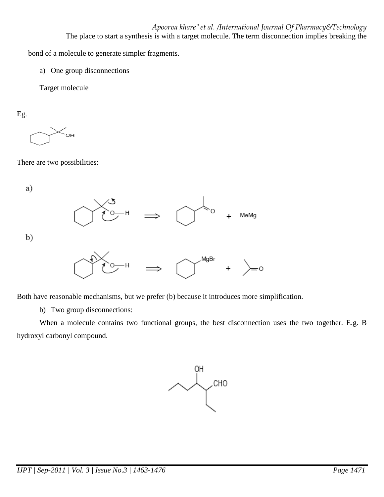*Apoorva khare \* et al. /International Journal Of Pharmacy&Technology* The place to start a synthesis is with a target molecule. The term disconnection implies breaking the

bond of a molecule to generate simpler fragments.

a) One group disconnections

Target molecule

Eg.

OH

There are two possibilities:

a)

 $b)$ 



Both have reasonable mechanisms, but we prefer (b) because it introduces more simplification.

b) Two group disconnections:

When a molecule contains two functional groups, the best disconnection uses the two together. E.g. B hydroxyl carbonyl compound.

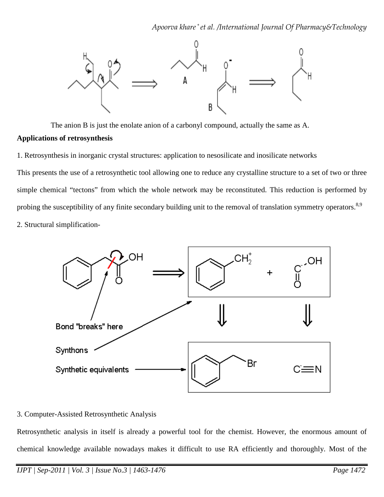

The anion B is just the enolate anion of a carbonyl compound, actually the same as A.

## **Applications of retrosynthesis**

1. Retrosynthesis in inorganic crystal structures: application to nesosilicate and inosilicate networks

This presents the use of a retrosynthetic tool allowing one to reduce any crystalline structure to a set of two or three simple chemical "tectons" from which the whole network may be reconstituted. This reduction is performed by probing the susceptibility of any finite secondary building unit to the removal of translation symmetry operators.<sup>8,9</sup> 2. Structural simplification-



# 3. Computer-Assisted Retrosynthetic Analysis

Retrosynthetic analysis in itself is already a powerful tool for the chemist. However, the enormous amount of chemical knowledge available nowadays makes it difficult to use RA efficiently and thoroughly. Most of the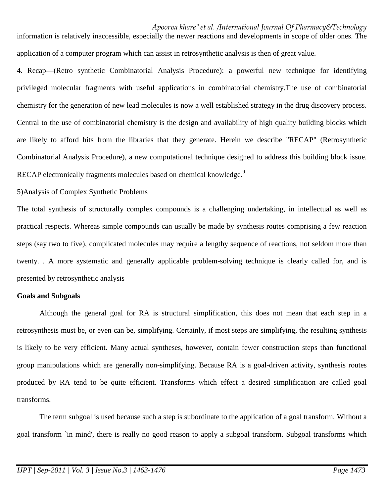*Apoorva khare \* et al. /International Journal Of Pharmacy&Technology* information is relatively inaccessible, especially the newer reactions and developments in scope of older ones. The application of a computer program which can assist in retrosynthetic analysis is then of great value.

4. Recap—(Retro synthetic Combinatorial Analysis Procedure): a powerful new technique for identifying privileged molecular fragments with useful applications in combinatorial chemistry.The use of combinatorial chemistry for the generation of new lead molecules is now a well established strategy in the drug discovery process. Central to the use of combinatorial chemistry is the design and availability of high quality building blocks which are likely to afford hits from the libraries that they generate. Herein we describe "RECAP" (Retrosynthetic Combinatorial Analysis Procedure), a new computational technique designed to address this building block issue. RECAP electronically fragments molecules based on chemical knowledge.<sup>9</sup>

#### 5)Analysis of Complex Synthetic Problems

The total synthesis of structurally complex compounds is a challenging undertaking, in intellectual as well as practical respects. Whereas simple compounds can usually be made by synthesis routes comprising a few reaction steps (say two to five), complicated molecules may require a lengthy sequence of reactions, not seldom more than twenty. . A more systematic and generally applicable problem-solving technique is clearly called for, and is presented by retrosynthetic analysis

#### **Goals and Subgoals**

Although the general goal for RA is structural simplification, this does not mean that each step in a retrosynthesis must be, or even can be, simplifying. Certainly, if most steps are simplifying, the resulting synthesis is likely to be very efficient. Many actual syntheses, however, contain fewer construction steps than functional group manipulations which are generally non-simplifying. Because RA is a goal-driven activity, synthesis routes produced by RA tend to be quite efficient. Transforms which effect a desired simplification are called goal transforms.

The term subgoal is used because such a step is subordinate to the application of a goal transform. Without a goal transform `in mind', there is really no good reason to apply a subgoal transform. Subgoal transforms which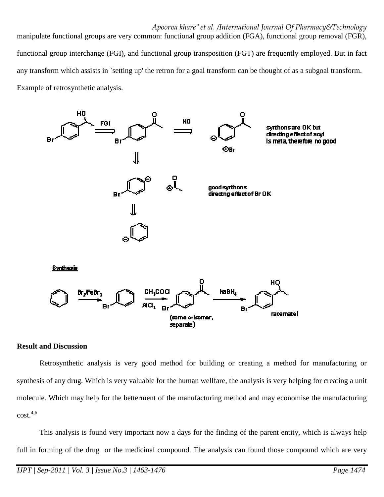*Apoorva khare \* et al. /International Journal Of Pharmacy&Technology* manipulate functional groups are very common: functional group addition (FGA), functional group removal (FGR),

functional group interchange (FGI), and functional group transposition (FGT) are frequently employed. But in fact any transform which assists in `setting up' the retron for a goal transform can be thought of as a subgoal transform. Example of retrosynthetic analysis.



#### **Result and Discussion**

Retrosynthetic analysis is very good method for building or creating a method for manufacturing or synthesis of any drug. Which is very valuable for the human wellfare, the analysis is very helping for creating a unit molecule. Which may help for the betterment of the manufacturing method and may economise the manufacturing  $cost.<sup>4,6</sup>$ 

 This analysis is found very important now a days for the finding of the parent entity, which is always help full in forming of the drug or the medicinal compound. The analysis can found those compound which are very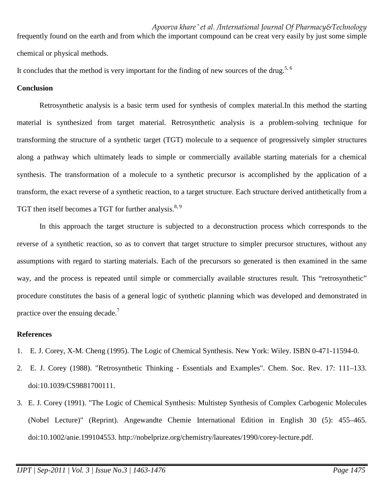frequently found on the earth and from which the important compound can be creat very easily by just some simple chemical or physical methods.

It concludes that the method is very important for the finding of new sources of the drug.<sup>5, 6</sup>

## **Conclusion**

 Retrosynthetic analysis is a basic term used for synthesis of complex material.In this method the starting material is synthesized from target material. Retrosynthetic analysis is a problem-solving technique for transforming the structure of a synthetic target (TGT) molecule to a sequence of progressively simpler structures along a pathway which ultimately leads to simple or commercially available starting materials for a chemical synthesis. The transformation of a molecule to a synthetic precursor is accomplished by the application of a transform, the exact reverse of a synthetic reaction, to a target structure. Each structure derived antithetically from a TGT then itself becomes a TGT for further analysis.<sup>8, 9</sup>

In this approach the target structure is subjected to a deconstruction process which corresponds to the reverse of a synthetic reaction, so as to convert that target structure to simpler precursor structures, without any assumptions with regard to starting materials. Each of the precursors so generated is then examined in the same way, and the process is repeated until simple or commercially available structures result. This "retrosynthetic" procedure constitutes the basis of a general logic of synthetic planning which was developed and demonstrated in practice over the ensuing decade.<sup>7</sup>

# **References**

- 1. E. J. Corey, X-M. Cheng (1995). The Logic of Chemical Synthesis. New York: Wiley. ISBN 0-471-11594-0.
- 2. E. J. Corey (1988). "Retrosynthetic Thinking Essentials and Examples". Chem. Soc. Rev. 17: 111–133. doi:10.1039/CS9881700111.
- 3. E. J. Corey (1991). "The Logic of Chemical Synthesis: Multistep Synthesis of Complex Carbogenic Molecules (Nobel Lecture)" (Reprint). Angewandte Chemie International Edition in English 30 (5): 455–465. doi:10.1002/anie.199104553. http://nobelprize.org/chemistry/laureates/1990/corey-lecture.pdf.